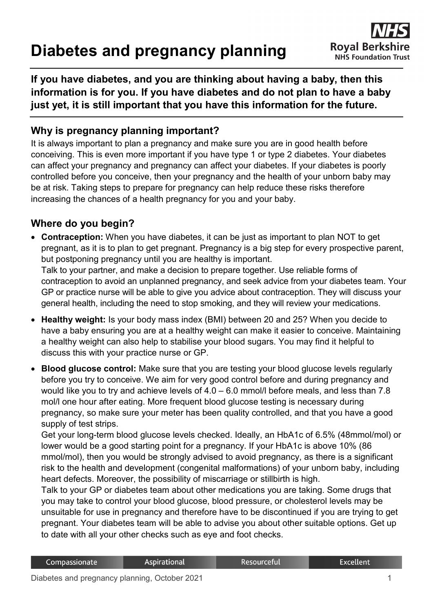# **Diabetes and pregnancy planning**



**If you have diabetes, and you are thinking about having a baby, then this information is for you. If you have diabetes and do not plan to have a baby just yet, it is still important that you have this information for the future.**

# **Why is pregnancy planning important?**

It is always important to plan a pregnancy and make sure you are in good health before conceiving. This is even more important if you have type 1 or type 2 diabetes. Your diabetes can affect your pregnancy and pregnancy can affect your diabetes. If your diabetes is poorly controlled before you conceive, then your pregnancy and the health of your unborn baby may be at risk. Taking steps to prepare for pregnancy can help reduce these risks therefore increasing the chances of a health pregnancy for you and your baby.

#### **Where do you begin?**

- **Contraception:** When you have diabetes, it can be just as important to plan NOT to get pregnant, as it is to plan to get pregnant. Pregnancy is a big step for every prospective parent, but postponing pregnancy until you are healthy is important. Talk to your partner, and make a decision to prepare together. Use reliable forms of contraception to avoid an unplanned pregnancy, and seek advice from your diabetes team. Your GP or practice nurse will be able to give you advice about contraception. They will discuss your general health, including the need to stop smoking, and they will review your medications.
- **Healthy weight:** Is your body mass index (BMI) between 20 and 25? When you decide to have a baby ensuring you are at a healthy weight can make it easier to conceive. Maintaining a healthy weight can also help to stabilise your blood sugars. You may find it helpful to discuss this with your practice nurse or GP.
- **Blood glucose control:** Make sure that you are testing your blood glucose levels regularly before you try to conceive. We aim for very good control before and during pregnancy and would like you to try and achieve levels of 4.0 – 6.0 mmol/l before meals, and less than 7.8 mol/l one hour after eating. More frequent blood glucose testing is necessary during pregnancy, so make sure your meter has been quality controlled, and that you have a good supply of test strips.

Get your long-term blood glucose levels checked. Ideally, an HbA1c of 6.5% (48mmol/mol) or lower would be a good starting point for a pregnancy. If your HbA1c is above 10% (86 mmol/mol), then you would be strongly advised to avoid pregnancy, as there is a significant risk to the health and development (congenital malformations) of your unborn baby, including heart defects. Moreover, the possibility of miscarriage or stillbirth is high.

Talk to your GP or diabetes team about other medications you are taking. Some drugs that you may take to control your blood glucose, blood pressure, or cholesterol levels may be unsuitable for use in pregnancy and therefore have to be discontinued if you are trying to get pregnant. Your diabetes team will be able to advise you about other suitable options. Get up to date with all your other checks such as eye and foot checks.

| Compassionate | <b>Aspirational</b> | <b>Resourceful</b> | <b>Excellent</b> |
|---------------|---------------------|--------------------|------------------|
|               |                     |                    |                  |